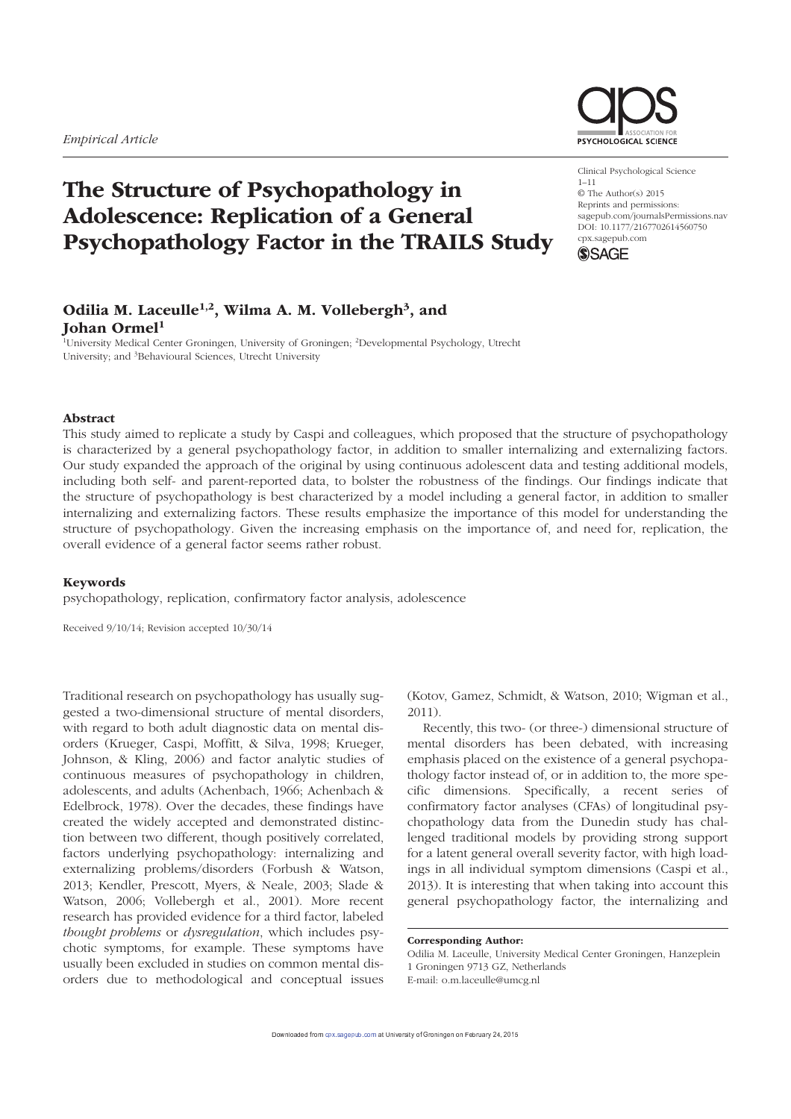## The Structure of Psychopathology in Adolescence: Replication of a General Psychopathology Factor in the TRAILS Study

## Odilia M. Laceulle<sup>1,2</sup>, Wilma A. M. Vollebergh<sup>3</sup>, and Johan Ormel<sup>1</sup>

<sup>1</sup>University Medical Center Groningen, University of Groningen; <sup>2</sup>Developmental Psychology, Utrecht University; and <sup>3</sup>Behavioural Sciences, Utrecht University

## Abstract

This study aimed to replicate a study by Caspi and colleagues, which proposed that the structure of psychopathology is characterized by a general psychopathology factor, in addition to smaller internalizing and externalizing factors. Our study expanded the approach of the original by using continuous adolescent data and testing additional models, including both self- and parent-reported data, to bolster the robustness of the findings. Our findings indicate that the structure of psychopathology is best characterized by a model including a general factor, in addition to smaller internalizing and externalizing factors. These results emphasize the importance of this model for understanding the structure of psychopathology. Given the increasing emphasis on the importance of, and need for, replication, the overall evidence of a general factor seems rather robust.

#### Keywords

psychopathology, replication, confirmatory factor analysis, adolescence

Received 9/10/14; Revision accepted 10/30/14

Traditional research on psychopathology has usually suggested a two-dimensional structure of mental disorders, with regard to both adult diagnostic data on mental disorders (Krueger, Caspi, Moffitt, & Silva, 1998; Krueger, Johnson, & Kling, 2006) and factor analytic studies of continuous measures of psychopathology in children, adolescents, and adults (Achenbach, 1966; Achenbach & Edelbrock, 1978). Over the decades, these findings have created the widely accepted and demonstrated distinction between two different, though positively correlated, factors underlying psychopathology: internalizing and externalizing problems/disorders (Forbush & Watson, 2013; Kendler, Prescott, Myers, & Neale, 2003; Slade & Watson, 2006; Vollebergh et al., 2001). More recent research has provided evidence for a third factor, labeled thought problems or dysregulation, which includes psychotic symptoms, for example. These symptoms have usually been excluded in studies on common mental disorders due to methodological and conceptual issues (Kotov, Gamez, Schmidt, & Watson, 2010; Wigman et al., 2011).

Recently, this two- (or three-) dimensional structure of mental disorders has been debated, with increasing emphasis placed on the existence of a general psychopathology factor instead of, or in addition to, the more specific dimensions. Specifically, a recent series of confirmatory factor analyses (CFAs) of longitudinal psychopathology data from the Dunedin study has challenged traditional models by providing strong support for a latent general overall severity factor, with high loadings in all individual symptom dimensions (Caspi et al., 2013). It is interesting that when taking into account this general psychopathology factor, the internalizing and

#### Corresponding Author:

Odilia M. Laceulle, University Medical Center Groningen, Hanzeplein 1 Groningen 9713 GZ, Netherlands E-mail: o.m.laceulle@umcg.nl



Clinical Psychological Science  $1 - 11$ 

© The Author(s) 2015 Reprints and permissions: sagepub.com/journalsPermissions.nav DOI: 10.1177/2167702614560750 cpx.sagepub.com

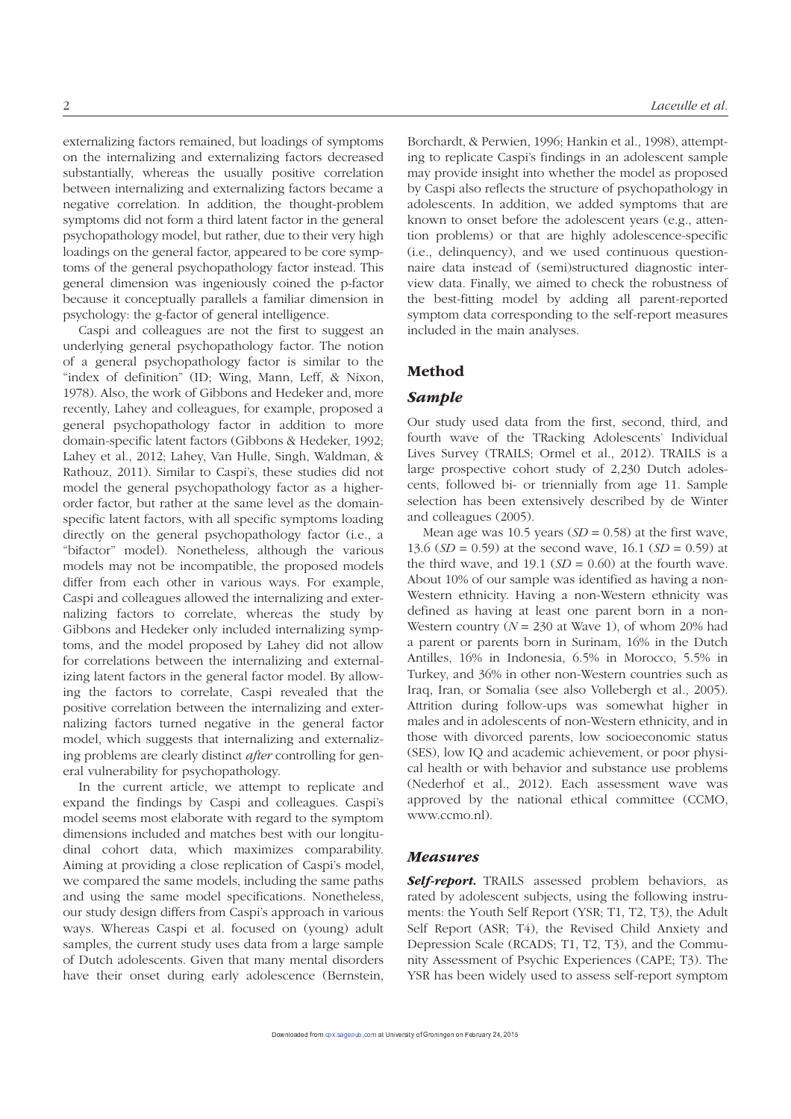externalizing factors remained, but loadings of symptoms on the internalizing and externalizing factors decreased substantially, whereas the usually positive correlation between internalizing and externalizing factors became a negative correlation. In addition, the thought-problem symptoms did not form a third latent factor in the general psychopathology model, but rather, due to their very high loadings on the general factor, appeared to be core symptoms of the general psychopathology factor instead. This general dimension was ingeniously coined the p-factor because it conceptually parallels a familiar dimension in psychology: the g-factor of general intelligence.

Caspi and colleagues are not the first to suggest an underlying general psychopathology factor. The notion of a general psychopathology factor is similar to the "index of definition" (ID; Wing, Mann, Leff, & Nixon, 1978). Also, the work of Gibbons and Hedeker and, more recently, Lahey and colleagues, for example, proposed a general psychopathology factor in addition to more domain-specific latent factors (Gibbons & Hedeker, 1992; Lahey et al., 2012; Lahey, Van Hulle, Singh, Waldman, & Rathouz, 2011). Similar to Caspi's, these studies did not model the general psychopathology factor as a higherorder factor, but rather at the same level as the domainspecific latent factors, with all specific symptoms loading directly on the general psychopathology factor (i.e., a "bifactor" model). Nonetheless, although the various models may not be incompatible, the proposed models differ from each other in various ways. For example, Caspi and colleagues allowed the internalizing and externalizing factors to correlate, whereas the study by Gibbons and Hedeker only included internalizing symptoms, and the model proposed by Lahey did not allow for correlations between the internalizing and externalizing latent factors in the general factor model. By allowing the factors to correlate, Caspi revealed that the positive correlation between the internalizing and externalizing factors turned negative in the general factor model, which suggests that internalizing and externalizing problems are clearly distinct after controlling for general vulnerability for psychopathology.

In the current article, we attempt to replicate and expand the findings by Caspi and colleagues. Caspi's model seems most elaborate with regard to the symptom dimensions included and matches best with our longitudinal cohort data, which maximizes comparability. Aiming at providing a close replication of Caspi's model, we compared the same models, including the same paths and using the same model specifications. Nonetheless, our study design differs from Caspi's approach in various ways. Whereas Caspi et al. focused on (young) adult samples, the current study uses data from a large sample of Dutch adolescents. Given that many mental disorders have their onset during early adolescence (Bernstein,

Borchardt, & Perwien, 1996; Hankin et al., 1998), attempting to replicate Caspi's findings in an adolescent sample may provide insight into whether the model as proposed by Caspi also reflects the structure of psychopathology in adolescents. In addition, we added symptoms that are known to onset before the adolescent years (e.g., attention problems) or that are highly adolescence-specific (i.e., delinquency), and we used continuous questionnaire data instead of (semi)structured diagnostic interview data. Finally, we aimed to check the robustness of the best-fitting model by adding all parent-reported symptom data corresponding to the self-report measures included in the main analyses.

### Method

#### Sample

Our study used data from the first, second, third, and fourth wave of the TRacking Adolescents' Individual Lives Survey (TRAILS; Ormel et al., 2012). TRAILS is a large prospective cohort study of 2,230 Dutch adolescents, followed bi- or triennially from age 11. Sample selection has been extensively described by de Winter and colleagues (2005).

Mean age was 10.5 years  $(SD = 0.58)$  at the first wave, 13.6 ( $SD = 0.59$ ) at the second wave, 16.1 ( $SD = 0.59$ ) at the third wave, and 19.1 ( $SD = 0.60$ ) at the fourth wave. About 10% of our sample was identified as having a non-Western ethnicity. Having a non-Western ethnicity was defined as having at least one parent born in a non-Western country ( $N = 230$  at Wave 1), of whom 20% had a parent or parents born in Surinam, 16% in the Dutch Antilles, 16% in Indonesia, 6.5% in Morocco, 5.5% in Turkey, and 36% in other non-Western countries such as Iraq, Iran, or Somalia (see also Vollebergh et al., 2005). Attrition during follow-ups was somewhat higher in males and in adolescents of non-Western ethnicity, and in those with divorced parents, low socioeconomic status (SES), low IQ and academic achievement, or poor physical health or with behavior and substance use problems (Nederhof et al., 2012). Each assessment wave was approved by the national ethical committee (CCMO, www.ccmo.nl).

#### Measures

Self-report. TRAILS assessed problem behaviors, as rated by adolescent subjects, using the following instruments: the Youth Self Report (YSR; T1, T2, T3), the Adult Self Report (ASR; T4), the Revised Child Anxiety and Depression Scale (RCADS; T1, T2, T3), and the Community Assessment of Psychic Experiences (CAPE; T3). The YSR has been widely used to assess self-report symptom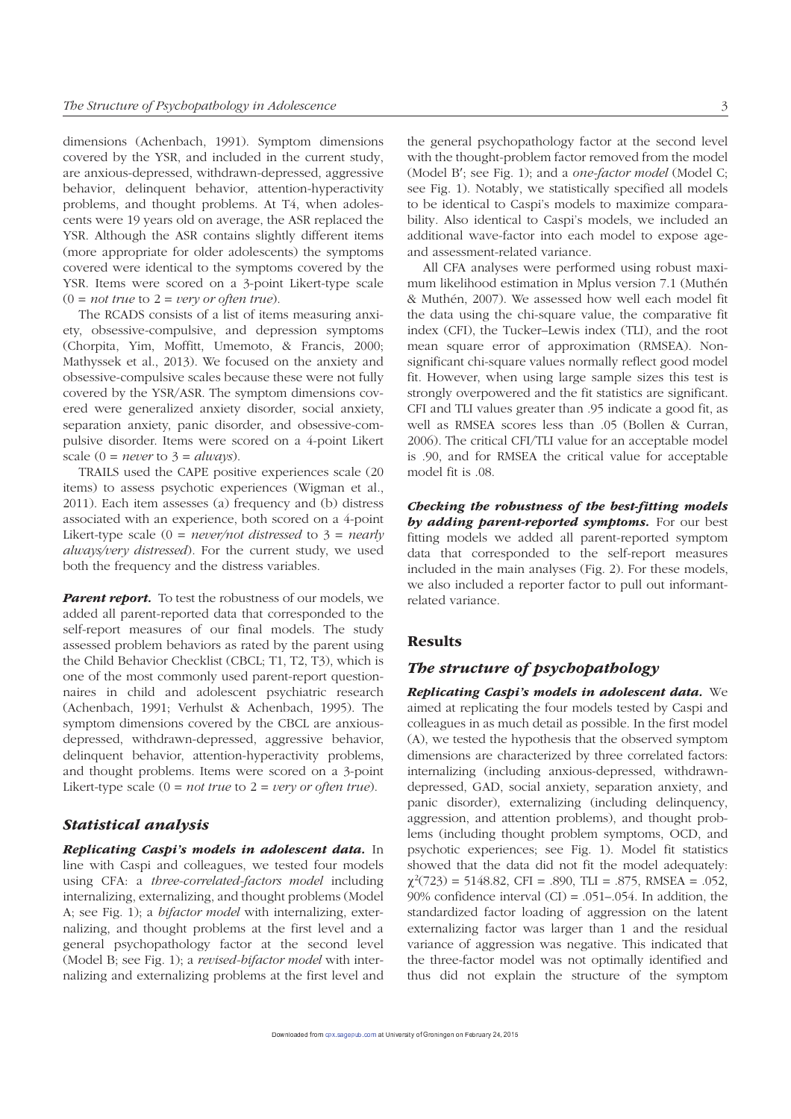dimensions (Achenbach, 1991). Symptom dimensions covered by the YSR, and included in the current study, are anxious-depressed, withdrawn-depressed, aggressive behavior, delinquent behavior, attention-hyperactivity problems, and thought problems. At T4, when adolescents were 19 years old on average, the ASR replaced the YSR. Although the ASR contains slightly different items (more appropriate for older adolescents) the symptoms covered were identical to the symptoms covered by the YSR. Items were scored on a 3-point Likert-type scale  $(0 = not true to 2 = very or often true).$ 

The RCADS consists of a list of items measuring anxiety, obsessive-compulsive, and depression symptoms (Chorpita, Yim, Moffitt, Umemoto, & Francis, 2000; Mathyssek et al., 2013). We focused on the anxiety and obsessive-compulsive scales because these were not fully covered by the YSR/ASR. The symptom dimensions covered were generalized anxiety disorder, social anxiety, separation anxiety, panic disorder, and obsessive-compulsive disorder. Items were scored on a 4-point Likert scale  $(0 = never to 3 = always)$ .

TRAILS used the CAPE positive experiences scale (20 items) to assess psychotic experiences (Wigman et al., 2011). Each item assesses (a) frequency and (b) distress associated with an experience, both scored on a 4-point Likert-type scale  $(0 = never/not \; distinct\; to \; 3 = nearly)$ always/very distressed). For the current study, we used both the frequency and the distress variables.

**Parent report.** To test the robustness of our models, we added all parent-reported data that corresponded to the self-report measures of our final models. The study assessed problem behaviors as rated by the parent using the Child Behavior Checklist (CBCL; T1, T2, T3), which is one of the most commonly used parent-report questionnaires in child and adolescent psychiatric research (Achenbach, 1991; Verhulst & Achenbach, 1995). The symptom dimensions covered by the CBCL are anxiousdepressed, withdrawn-depressed, aggressive behavior, delinquent behavior, attention-hyperactivity problems, and thought problems. Items were scored on a 3-point Likert-type scale  $(0 = not true to 2 = very or often true).$ 

## Statistical analysis

Replicating Caspi's models in adolescent data. In line with Caspi and colleagues, we tested four models using CFA: a three-correlated-factors model including internalizing, externalizing, and thought problems (Model A; see Fig. 1); a *bifactor model* with internalizing, externalizing, and thought problems at the first level and a general psychopathology factor at the second level (Model B; see Fig. 1); a revised-bifactor model with internalizing and externalizing problems at the first level and the general psychopathology factor at the second level with the thought-problem factor removed from the model (Model B'; see Fig. 1); and a one-factor model (Model C; see Fig. 1). Notably, we statistically specified all models to be identical to Caspi's models to maximize comparability. Also identical to Caspi's models, we included an additional wave-factor into each model to expose ageand assessment-related variance.

All CFA analyses were performed using robust maximum likelihood estimation in Mplus version 7.1 (Muthén & Muthén, 2007). We assessed how well each model fit the data using the chi-square value, the comparative fit index (CFI), the Tucker–Lewis index (TLI), and the root mean square error of approximation (RMSEA). Nonsignificant chi-square values normally reflect good model fit. However, when using large sample sizes this test is strongly overpowered and the fit statistics are significant. CFI and TLI values greater than .95 indicate a good fit, as well as RMSEA scores less than .05 (Bollen & Curran, 2006). The critical CFI/TLI value for an acceptable model is .90, and for RMSEA the critical value for acceptable model fit is .08.

Checking the robustness of the best-fitting models by adding parent-reported symptoms. For our best fitting models we added all parent-reported symptom data that corresponded to the self-report measures included in the main analyses (Fig. 2). For these models, we also included a reporter factor to pull out informantrelated variance.

## Results

## The structure of psychopathology

Replicating Caspi's models in adolescent data. We aimed at replicating the four models tested by Caspi and colleagues in as much detail as possible. In the first model (A), we tested the hypothesis that the observed symptom dimensions are characterized by three correlated factors: internalizing (including anxious-depressed, withdrawndepressed, GAD, social anxiety, separation anxiety, and panic disorder), externalizing (including delinquency, aggression, and attention problems), and thought problems (including thought problem symptoms, OCD, and psychotic experiences; see Fig. 1). Model fit statistics showed that the data did not fit the model adequately:  $\chi^2$ (723) = 5148.82, CFI = .890, TLI = .875, RMSEA = .052, 90% confidence interval  $(CI) = .051-.054$ . In addition, the standardized factor loading of aggression on the latent externalizing factor was larger than 1 and the residual variance of aggression was negative. This indicated that the three-factor model was not optimally identified and thus did not explain the structure of the symptom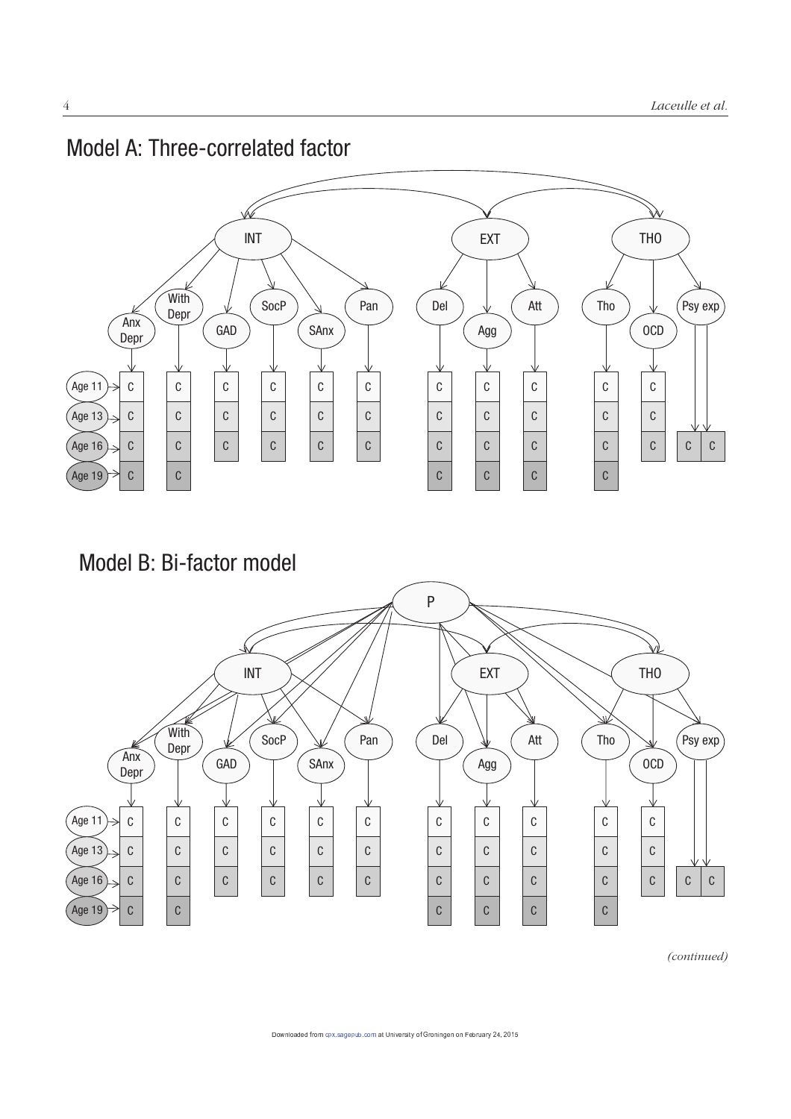# Model A: Three-correlated factor



Model B: Bi-factor model



<sup>(</sup>continued)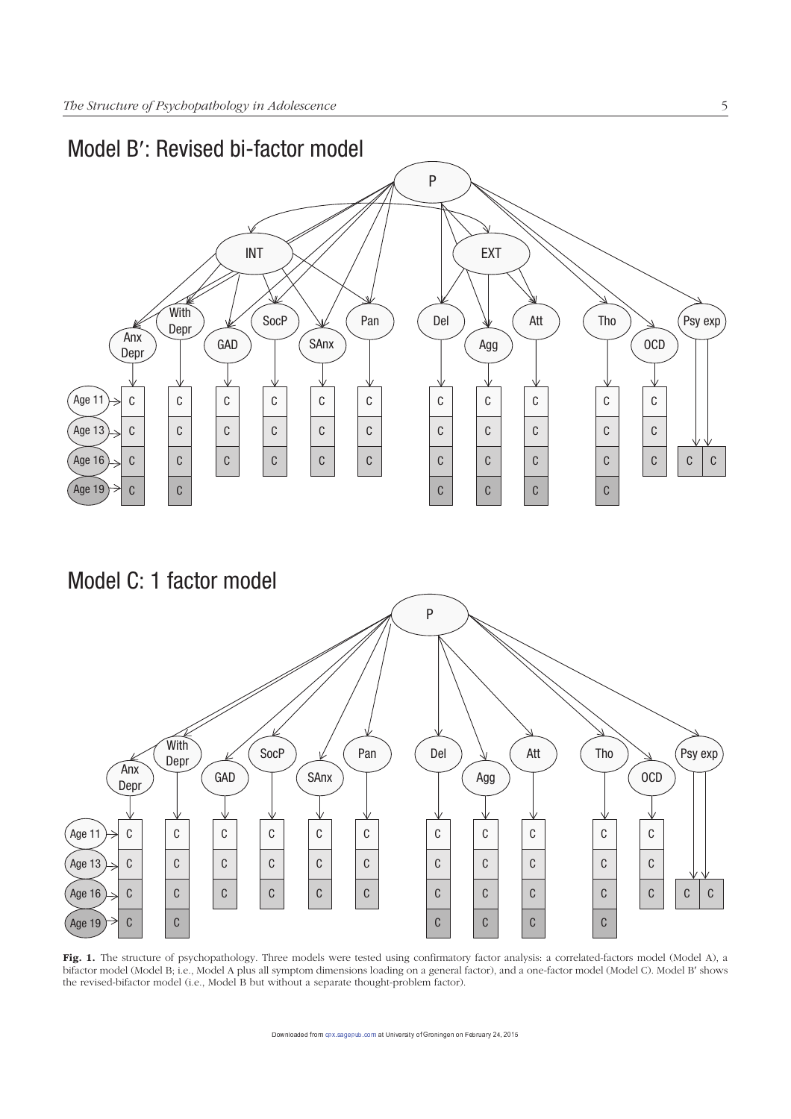

Model C: 1 factor model



Fig. 1. The structure of psychopathology. Three models were tested using confirmatory factor analysis: a correlated-factors model (Model A), a bifactor model (Model B; i.e., Model A plus all symptom dimensions loading on a general factor), and a one-factor model (Model C). Model B' shows the revised-bifactor model (i.e., Model B but without a separate thought-problem factor).

¡ ¢ £ ¡ ¤ ¥ ¦ ¡ § § ¨ © ¡ ¢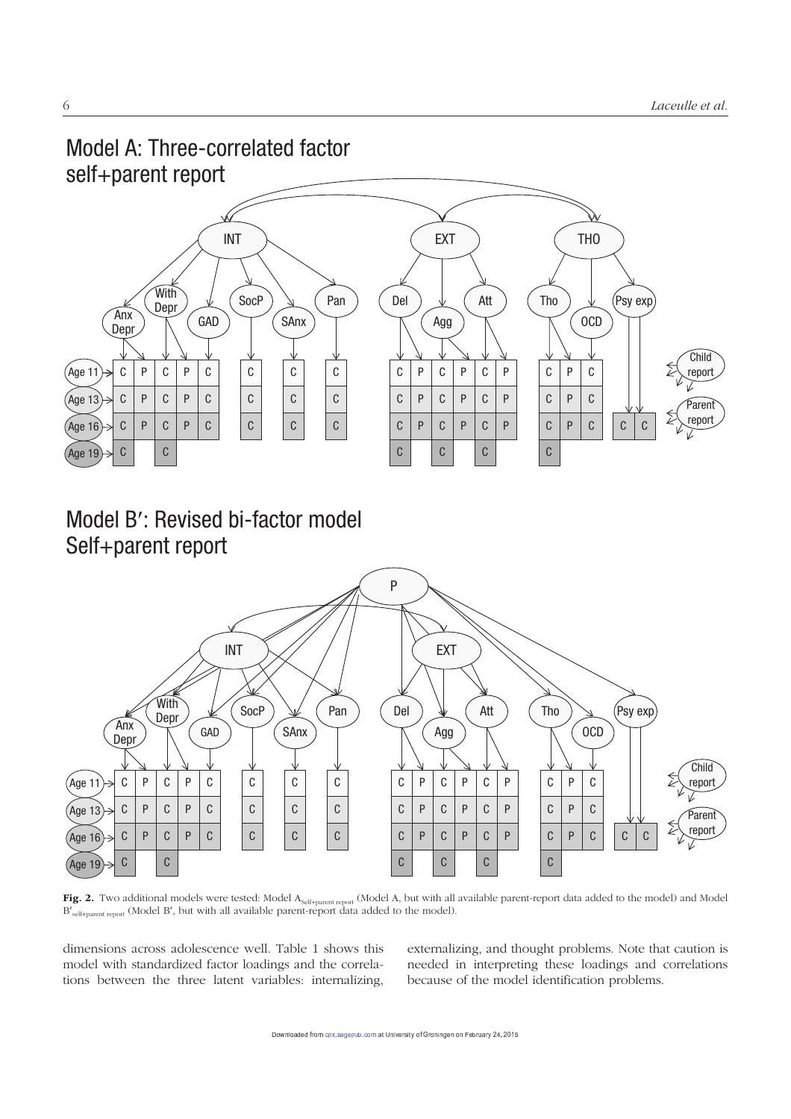## Model A: Three-correlated factor self+parent report



Model B′: Revised bi-factor model Self+parent report



Fig. 2. Two additional models were tested: Model A<sub>self+parent report</sub> (Model A, but with all available parent-report data added to the model) and Model B'<sub>self+parent report</sub> (Model B', but with all available parent-report data added to the model).

dimensions across adolescence well. Table 1 shows this model with standardized factor loadings and the correlations between the three latent variables: internalizing,

externalizing, and thought problems. Note that caution is needed in interpreting these loadings and correlations because of the model identification problems.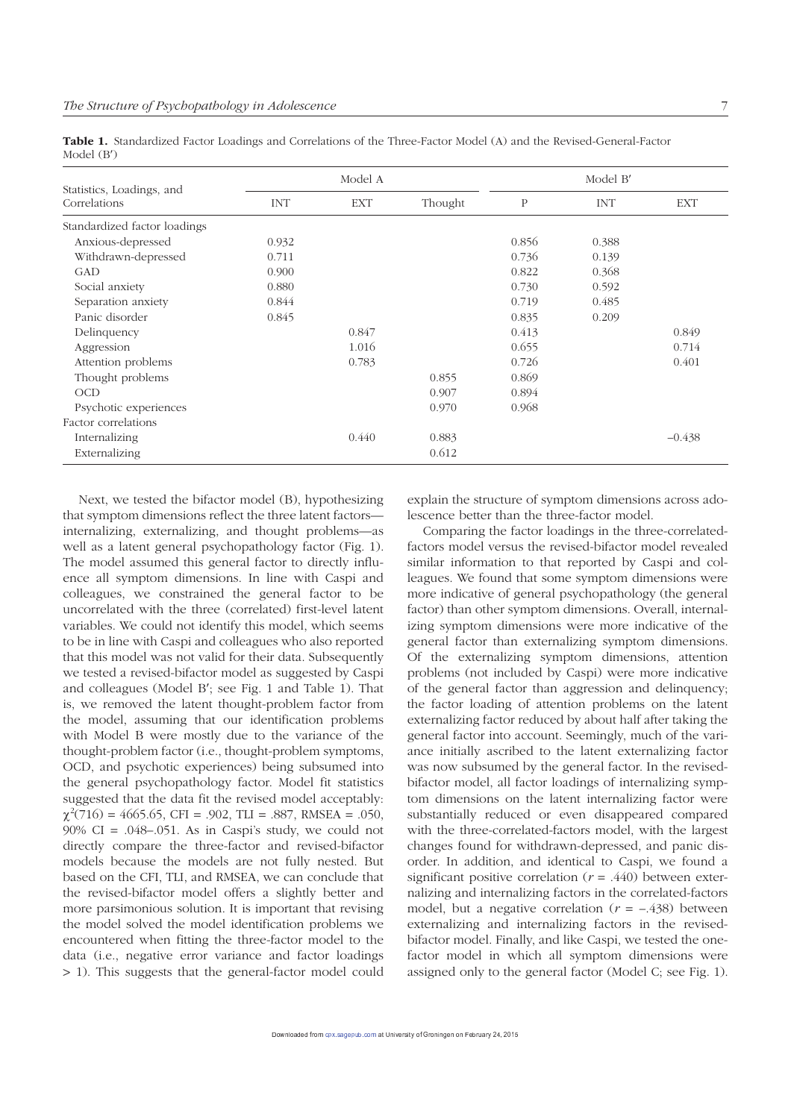|              |  |  |  |  | Table 1. Standardized Factor Loadings and Correlations of the Three-Factor Model (A) and the Revised-General-Factor |
|--------------|--|--|--|--|---------------------------------------------------------------------------------------------------------------------|
| Model $(B')$ |  |  |  |  |                                                                                                                     |

|                                           |            | Model A    |         | Model B'     |            |          |  |
|-------------------------------------------|------------|------------|---------|--------------|------------|----------|--|
| Statistics, Loadings, and<br>Correlations | <b>INT</b> | <b>EXT</b> | Thought | $\mathbf{P}$ | <b>INT</b> | EXT      |  |
| Standardized factor loadings              |            |            |         |              |            |          |  |
| Anxious-depressed                         | 0.932      |            |         | 0.856        | 0.388      |          |  |
| Withdrawn-depressed                       | 0.711      |            |         | 0.736        | 0.139      |          |  |
| GAD                                       | 0.900      |            |         | 0.822        | 0.368      |          |  |
| Social anxiety                            | 0.880      |            |         | 0.730        | 0.592      |          |  |
| Separation anxiety                        | 0.844      |            |         | 0.719        | 0.485      |          |  |
| Panic disorder                            | 0.845      |            |         | 0.835        | 0.209      |          |  |
| Delinquency                               |            | 0.847      |         | 0.413        |            | 0.849    |  |
| Aggression                                |            | 1.016      |         | 0.655        |            | 0.714    |  |
| Attention problems                        |            | 0.783      |         | 0.726        |            | 0.401    |  |
| Thought problems                          |            |            | 0.855   | 0.869        |            |          |  |
| <b>OCD</b>                                |            |            | 0.907   | 0.894        |            |          |  |
| Psychotic experiences                     |            |            | 0.970   | 0.968        |            |          |  |
| Factor correlations                       |            |            |         |              |            |          |  |
| Internalizing                             |            | 0.440      | 0.883   |              |            | $-0.438$ |  |
| Externalizing                             |            |            | 0.612   |              |            |          |  |

Next, we tested the bifactor model (B), hypothesizing that symptom dimensions reflect the three latent factors internalizing, externalizing, and thought problems—as well as a latent general psychopathology factor (Fig. 1). The model assumed this general factor to directly influence all symptom dimensions. In line with Caspi and colleagues, we constrained the general factor to be uncorrelated with the three (correlated) first-level latent variables. We could not identify this model, which seems to be in line with Caspi and colleagues who also reported that this model was not valid for their data. Subsequently we tested a revised-bifactor model as suggested by Caspi and colleagues (Model B'; see Fig. 1 and Table 1). That is, we removed the latent thought-problem factor from the model, assuming that our identification problems with Model B were mostly due to the variance of the thought-problem factor (i.e., thought-problem symptoms, OCD, and psychotic experiences) being subsumed into the general psychopathology factor. Model fit statistics suggested that the data fit the revised model acceptably:  $\chi^2$ (716) = 4665.65, CFI = .902, TLI = .887, RMSEA = .050, 90% CI =  $.048-0.051$ . As in Caspi's study, we could not directly compare the three-factor and revised-bifactor models because the models are not fully nested. But based on the CFI, TLI, and RMSEA, we can conclude that the revised-bifactor model offers a slightly better and more parsimonious solution. It is important that revising the model solved the model identification problems we encountered when fitting the three-factor model to the data (i.e., negative error variance and factor loadings > 1). This suggests that the general-factor model could

explain the structure of symptom dimensions across adolescence better than the three-factor model.

Comparing the factor loadings in the three-correlatedfactors model versus the revised-bifactor model revealed similar information to that reported by Caspi and colleagues. We found that some symptom dimensions were more indicative of general psychopathology (the general factor) than other symptom dimensions. Overall, internalizing symptom dimensions were more indicative of the general factor than externalizing symptom dimensions. Of the externalizing symptom dimensions, attention problems (not included by Caspi) were more indicative of the general factor than aggression and delinquency; the factor loading of attention problems on the latent externalizing factor reduced by about half after taking the general factor into account. Seemingly, much of the variance initially ascribed to the latent externalizing factor was now subsumed by the general factor. In the revisedbifactor model, all factor loadings of internalizing symptom dimensions on the latent internalizing factor were substantially reduced or even disappeared compared with the three-correlated-factors model, with the largest changes found for withdrawn-depressed, and panic disorder. In addition, and identical to Caspi, we found a significant positive correlation  $(r = .440)$  between externalizing and internalizing factors in the correlated-factors model, but a negative correlation  $(r = -.438)$  between externalizing and internalizing factors in the revisedbifactor model. Finally, and like Caspi, we tested the onefactor model in which all symptom dimensions were assigned only to the general factor (Model C; see Fig. 1).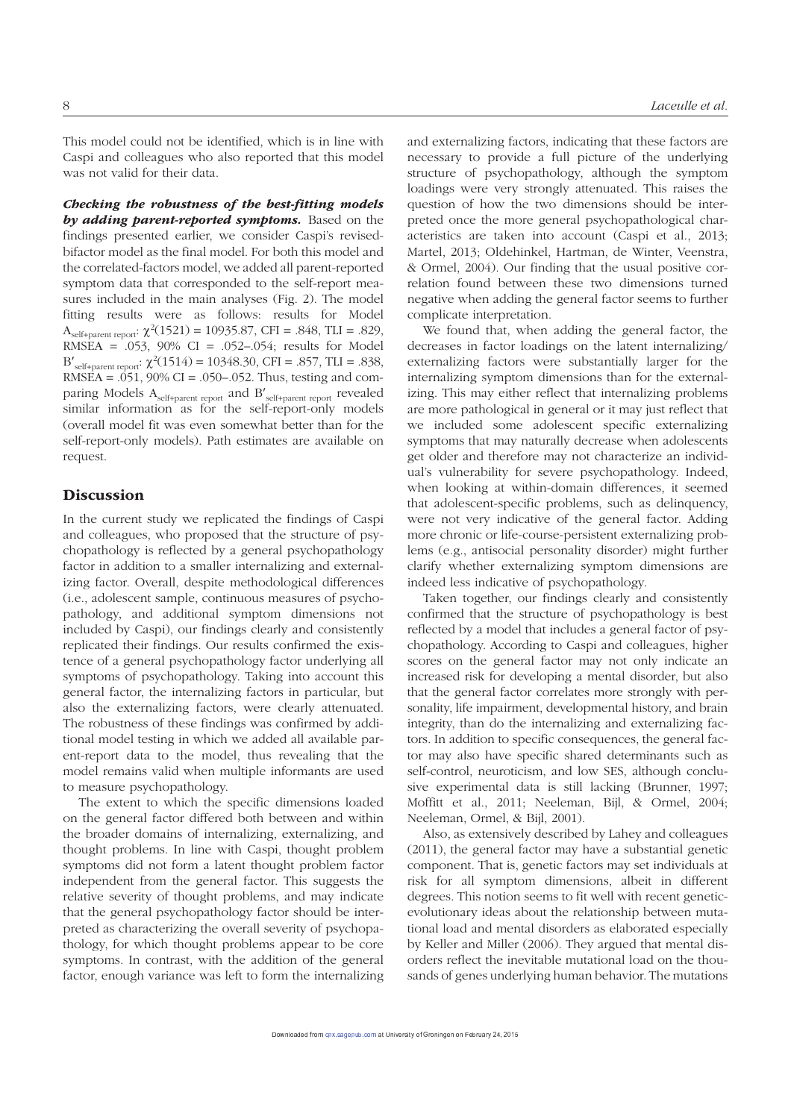This model could not be identified, which is in line with Caspi and colleagues who also reported that this model was not valid for their data.

Checking the robustness of the best-fitting models by *adding parent-reported symptoms*. Based on the findings presented earlier, we consider Caspi's revisedbifactor model as the final model. For both this model and the correlated-factors model, we added all parent-reported symptom data that corresponded to the self-report measures included in the main analyses (Fig. 2). The model fitting results were as follows: results for Model  $A_{self+parent\ report}: \chi^2(1521) = 10935.87, CFI = .848, TLI = .829,$ RMSEA =  $.053$ , 90% CI =  $.052-0.054$ ; results for Model  $B'_{\text{self+parent report}}$ :  $\chi^2(1514) = 10348.30$ , CFI = .857, TLI = .838, RMSEA =  $.051,90\%$  CI =  $.050-052$ . Thus, testing and comparing Models A<sub>self+parent report</sub> and B'<sub>self+parent report</sub> revealed similar information as for the self-report-only models (overall model fit was even somewhat better than for the self-report-only models). Path estimates are available on request.

## **Discussion**

In the current study we replicated the findings of Caspi and colleagues, who proposed that the structure of psychopathology is reflected by a general psychopathology factor in addition to a smaller internalizing and externalizing factor. Overall, despite methodological differences (i.e., adolescent sample, continuous measures of psychopathology, and additional symptom dimensions not included by Caspi), our findings clearly and consistently replicated their findings. Our results confirmed the existence of a general psychopathology factor underlying all symptoms of psychopathology. Taking into account this general factor, the internalizing factors in particular, but also the externalizing factors, were clearly attenuated. The robustness of these findings was confirmed by additional model testing in which we added all available parent-report data to the model, thus revealing that the model remains valid when multiple informants are used to measure psychopathology.

The extent to which the specific dimensions loaded on the general factor differed both between and within the broader domains of internalizing, externalizing, and thought problems. In line with Caspi, thought problem symptoms did not form a latent thought problem factor independent from the general factor. This suggests the relative severity of thought problems, and may indicate that the general psychopathology factor should be interpreted as characterizing the overall severity of psychopathology, for which thought problems appear to be core symptoms. In contrast, with the addition of the general factor, enough variance was left to form the internalizing and externalizing factors, indicating that these factors are necessary to provide a full picture of the underlying structure of psychopathology, although the symptom loadings were very strongly attenuated. This raises the question of how the two dimensions should be interpreted once the more general psychopathological characteristics are taken into account (Caspi et al., 2013; Martel, 2013; Oldehinkel, Hartman, de Winter, Veenstra, & Ormel, 2004). Our finding that the usual positive correlation found between these two dimensions turned negative when adding the general factor seems to further complicate interpretation.

We found that, when adding the general factor, the decreases in factor loadings on the latent internalizing/ externalizing factors were substantially larger for the internalizing symptom dimensions than for the externalizing. This may either reflect that internalizing problems are more pathological in general or it may just reflect that we included some adolescent specific externalizing symptoms that may naturally decrease when adolescents get older and therefore may not characterize an individual's vulnerability for severe psychopathology. Indeed, when looking at within-domain differences, it seemed that adolescent-specific problems, such as delinquency, were not very indicative of the general factor. Adding more chronic or life-course-persistent externalizing problems (e.g., antisocial personality disorder) might further clarify whether externalizing symptom dimensions are indeed less indicative of psychopathology.

Taken together, our findings clearly and consistently confirmed that the structure of psychopathology is best reflected by a model that includes a general factor of psychopathology. According to Caspi and colleagues, higher scores on the general factor may not only indicate an increased risk for developing a mental disorder, but also that the general factor correlates more strongly with personality, life impairment, developmental history, and brain integrity, than do the internalizing and externalizing factors. In addition to specific consequences, the general factor may also have specific shared determinants such as self-control, neuroticism, and low SES, although conclusive experimental data is still lacking (Brunner, 1997; Moffitt et al., 2011; Neeleman, Bijl, & Ormel, 2004; Neeleman, Ormel, & Bijl, 2001).

Also, as extensively described by Lahey and colleagues (2011), the general factor may have a substantial genetic component. That is, genetic factors may set individuals at risk for all symptom dimensions, albeit in different degrees. This notion seems to fit well with recent geneticevolutionary ideas about the relationship between mutational load and mental disorders as elaborated especially by Keller and Miller (2006). They argued that mental disorders reflect the inevitable mutational load on the thousands of genes underlying human behavior. The mutations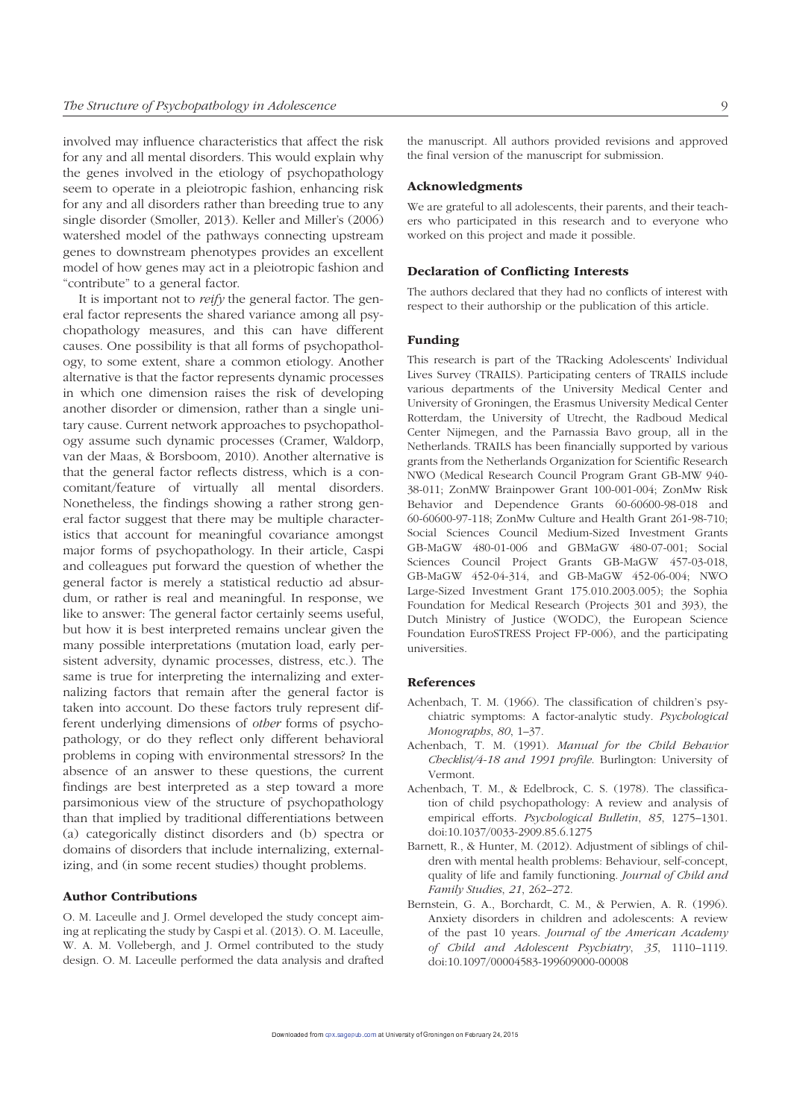involved may influence characteristics that affect the risk for any and all mental disorders. This would explain why the genes involved in the etiology of psychopathology seem to operate in a pleiotropic fashion, enhancing risk for any and all disorders rather than breeding true to any single disorder (Smoller, 2013). Keller and Miller's (2006) watershed model of the pathways connecting upstream genes to downstream phenotypes provides an excellent model of how genes may act in a pleiotropic fashion and "contribute" to a general factor.

It is important not to  $reify$  the general factor. The general factor represents the shared variance among all psychopathology measures, and this can have different causes. One possibility is that all forms of psychopathology, to some extent, share a common etiology. Another alternative is that the factor represents dynamic processes in which one dimension raises the risk of developing another disorder or dimension, rather than a single unitary cause. Current network approaches to psychopathology assume such dynamic processes (Cramer, Waldorp, van der Maas, & Borsboom, 2010). Another alternative is that the general factor reflects distress, which is a concomitant/feature of virtually all mental disorders. Nonetheless, the findings showing a rather strong general factor suggest that there may be multiple characteristics that account for meaningful covariance amongst major forms of psychopathology. In their article, Caspi and colleagues put forward the question of whether the general factor is merely a statistical reductio ad absurdum, or rather is real and meaningful. In response, we like to answer: The general factor certainly seems useful, but how it is best interpreted remains unclear given the many possible interpretations (mutation load, early persistent adversity, dynamic processes, distress, etc.). The same is true for interpreting the internalizing and externalizing factors that remain after the general factor is taken into account. Do these factors truly represent different underlying dimensions of other forms of psychopathology, or do they reflect only different behavioral problems in coping with environmental stressors? In the absence of an answer to these questions, the current findings are best interpreted as a step toward a more parsimonious view of the structure of psychopathology than that implied by traditional differentiations between (a) categorically distinct disorders and (b) spectra or domains of disorders that include internalizing, externalizing, and (in some recent studies) thought problems.

#### Author Contributions

O. M. Laceulle and J. Ormel developed the study concept aiming at replicating the study by Caspi et al. (2013). O. M. Laceulle, W. A. M. Vollebergh, and J. Ormel contributed to the study design. O. M. Laceulle performed the data analysis and drafted the manuscript. All authors provided revisions and approved the final version of the manuscript for submission.

### Acknowledgments

We are grateful to all adolescents, their parents, and their teachers who participated in this research and to everyone who worked on this project and made it possible.

#### Declaration of Conflicting Interests

The authors declared that they had no conflicts of interest with respect to their authorship or the publication of this article.

### Funding

This research is part of the TRacking Adolescents' Individual Lives Survey (TRAILS). Participating centers of TRAILS include various departments of the University Medical Center and University of Groningen, the Erasmus University Medical Center Rotterdam, the University of Utrecht, the Radboud Medical Center Nijmegen, and the Parnassia Bavo group, all in the Netherlands. TRAILS has been financially supported by various grants from the Netherlands Organization for Scientific Research NWO (Medical Research Council Program Grant GB-MW 940- 38-011; ZonMW Brainpower Grant 100-001-004; ZonMw Risk Behavior and Dependence Grants 60-60600-98-018 and 60-60600-97-118; ZonMw Culture and Health Grant 261-98-710; Social Sciences Council Medium-Sized Investment Grants GB-MaGW 480-01-006 and GBMaGW 480-07-001; Social Sciences Council Project Grants GB-MaGW 457-03-018, GB-MaGW 452-04-314, and GB-MaGW 452-06-004; NWO Large-Sized Investment Grant 175.010.2003.005); the Sophia Foundation for Medical Research (Projects 301 and 393), the Dutch Ministry of Justice (WODC), the European Science Foundation EuroSTRESS Project FP-006), and the participating universities.

#### References

- Achenbach, T. M. (1966). The classification of children's psychiatric symptoms: A factor-analytic study. Psychological Monographs, 80, 1–37.
- Achenbach, T. M. (1991). Manual for the Child Behavior Checklist/4-18 and 1991 profile. Burlington: University of Vermont.
- Achenbach, T. M., & Edelbrock, C. S. (1978). The classification of child psychopathology: A review and analysis of empirical efforts. Psychological Bulletin, 85, 1275–1301. doi:10.1037/0033-2909.85.6.1275
- Barnett, R., & Hunter, M. (2012). Adjustment of siblings of children with mental health problems: Behaviour, self-concept, quality of life and family functioning. Journal of Child and Family Studies, 21, 262–272.
- Bernstein, G. A., Borchardt, C. M., & Perwien, A. R. (1996). Anxiety disorders in children and adolescents: A review of the past 10 years. Journal of the American Academy of Child and Adolescent Psychiatry, 35, 1110–1119. doi:10.1097/00004583-199609000-00008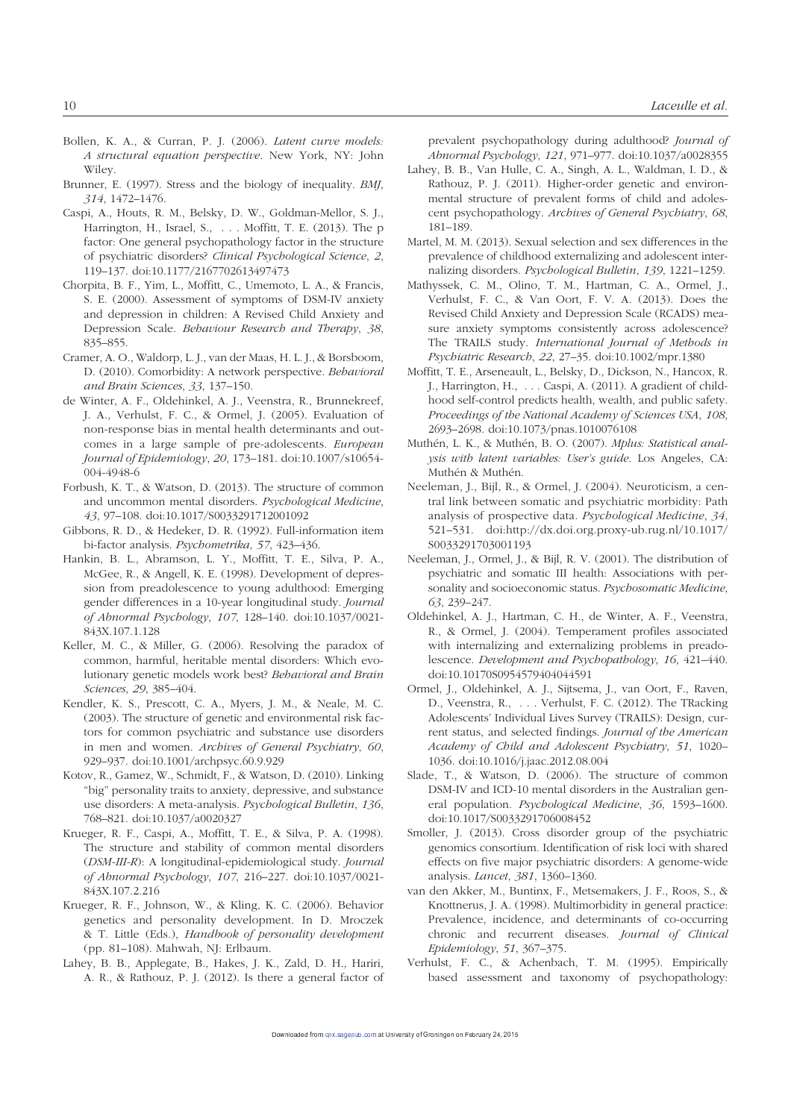- Bollen, K. A., & Curran, P. J. (2006). Latent curve models: A structural equation perspective. New York, NY: John Wiley.
- Brunner, E. (1997). Stress and the biology of inequality. BMJ, 314, 1472–1476.
- Caspi, A., Houts, R. M., Belsky, D. W., Goldman-Mellor, S. J., Harrington, H., Israel, S., . . . Moffitt, T. E. (2013). The p factor: One general psychopathology factor in the structure of psychiatric disorders? Clinical Psychological Science, 2, 119–137. doi:10.1177/2167702613497473
- Chorpita, B. F., Yim, L., Moffitt, C., Umemoto, L. A., & Francis, S. E. (2000). Assessment of symptoms of DSM-IV anxiety and depression in children: A Revised Child Anxiety and Depression Scale. Behaviour Research and Therapy, 38, 835–855.
- Cramer, A. O., Waldorp, L. J., van der Maas, H. L. J., & Borsboom, D. (2010). Comorbidity: A network perspective. Behavioral and Brain Sciences, 33, 137–150.
- de Winter, A. F., Oldehinkel, A. J., Veenstra, R., Brunnekreef, J. A., Verhulst, F. C., & Ormel, J. (2005). Evaluation of non-response bias in mental health determinants and outcomes in a large sample of pre-adolescents. European Journal of Epidemiology, 20, 173–181. doi:10.1007/s10654- 004-4948-6
- Forbush, K. T., & Watson, D. (2013). The structure of common and uncommon mental disorders. Psychological Medicine, 43, 97–108. doi:10.1017/S0033291712001092
- Gibbons, R. D., & Hedeker, D. R. (1992). Full-information item bi-factor analysis. Psychometrika, 57, 423–436.
- Hankin, B. L., Abramson, L. Y., Moffitt, T. E., Silva, P. A., McGee, R., & Angell, K. E. (1998). Development of depression from preadolescence to young adulthood: Emerging gender differences in a 10-year longitudinal study. Journal of Abnormal Psychology, 107, 128–140. doi:10.1037/0021- 843X.107.1.128
- Keller, M. C., & Miller, G. (2006). Resolving the paradox of common, harmful, heritable mental disorders: Which evolutionary genetic models work best? Behavioral and Brain Sciences, 29, 385–404.
- Kendler, K. S., Prescott, C. A., Myers, J. M., & Neale, M. C. (2003). The structure of genetic and environmental risk factors for common psychiatric and substance use disorders in men and women. Archives of General Psychiatry, 60, 929–937. doi:10.1001/archpsyc.60.9.929
- Kotov, R., Gamez, W., Schmidt, F., & Watson, D. (2010). Linking "big" personality traits to anxiety, depressive, and substance use disorders: A meta-analysis. Psychological Bulletin, 136, 768–821. doi:10.1037/a0020327
- Krueger, R. F., Caspi, A., Moffitt, T. E., & Silva, P. A. (1998). The structure and stability of common mental disorders (DSM-III-R): A longitudinal-epidemiological study. Journal of Abnormal Psychology, 107, 216–227. doi:10.1037/0021- 843X.107.2.216
- Krueger, R. F., Johnson, W., & Kling, K. C. (2006). Behavior genetics and personality development. In D. Mroczek & T. Little (Eds.), Handbook of personality development (pp. 81–108). Mahwah, NJ: Erlbaum.
- Lahey, B. B., Applegate, B., Hakes, J. K., Zald, D. H., Hariri, A. R., & Rathouz, P. J. (2012). Is there a general factor of

prevalent psychopathology during adulthood? Journal of Abnormal Psychology, 121, 971–977. doi:10.1037/a0028355

- Lahey, B. B., Van Hulle, C. A., Singh, A. L., Waldman, I. D., & Rathouz, P. J. (2011). Higher-order genetic and environmental structure of prevalent forms of child and adolescent psychopathology. Archives of General Psychiatry, 68, 181–189.
- Martel, M. M. (2013). Sexual selection and sex differences in the prevalence of childhood externalizing and adolescent internalizing disorders. Psychological Bulletin, 139, 1221–1259.
- Mathyssek, C. M., Olino, T. M., Hartman, C. A., Ormel, J., Verhulst, F. C., & Van Oort, F. V. A. (2013). Does the Revised Child Anxiety and Depression Scale (RCADS) measure anxiety symptoms consistently across adolescence? The TRAILS study. International Journal of Methods in Psychiatric Research, 22, 27–35. doi:10.1002/mpr.1380
- Moffitt, T. E., Arseneault, L., Belsky, D., Dickson, N., Hancox, R. J., Harrington, H., . . . Caspi, A. (2011). A gradient of childhood self-control predicts health, wealth, and public safety. Proceedings of the National Academy of Sciences USA, 108, 2693–2698. doi:10.1073/pnas.1010076108
- Muthén, L. K., & Muthén, B. O. (2007). Mplus: Statistical analysis with latent variables: User's guide. Los Angeles, CA: Muthén & Muthén.
- Neeleman, J., Bijl, R., & Ormel, J. (2004). Neuroticism, a central link between somatic and psychiatric morbidity: Path analysis of prospective data. Psychological Medicine, 34, 521–531. doi:http://dx.doi.org.proxy-ub.rug.nl/10.1017/ S0033291703001193
- Neeleman, J., Ormel, J., & Bijl, R. V. (2001). The distribution of psychiatric and somatic III health: Associations with personality and socioeconomic status. Psychosomatic Medicine, 63, 239–247.
- Oldehinkel, A. J., Hartman, C. H., de Winter, A. F., Veenstra, R., & Ormel, J. (2004). Temperament profiles associated with internalizing and externalizing problems in preadolescence. Development and Psychopathology, 16, 421–440. doi:10.10170S0954579404044591
- Ormel, J., Oldehinkel, A. J., Sijtsema, J., van Oort, F., Raven, D., Veenstra, R., . . . Verhulst, F. C. (2012). The TRacking Adolescents' Individual Lives Survey (TRAILS): Design, current status, and selected findings. Journal of the American Academy of Child and Adolescent Psychiatry, 51, 1020– 1036. doi:10.1016/j.jaac.2012.08.004
- Slade, T., & Watson, D. (2006). The structure of common DSM-IV and ICD-10 mental disorders in the Australian general population. Psychological Medicine, 36, 1593–1600. doi:10.1017/S0033291706008452
- Smoller, J. (2013). Cross disorder group of the psychiatric genomics consortium. Identification of risk loci with shared effects on five major psychiatric disorders: A genome-wide analysis. Lancet, 381, 1360–1360.
- van den Akker, M., Buntinx, F., Metsemakers, J. F., Roos, S., & Knottnerus, J. A. (1998). Multimorbidity in general practice: Prevalence, incidence, and determinants of co-occurring chronic and recurrent diseases. Journal of Clinical Epidemiology, 51, 367–375.
- Verhulst, F. C., & Achenbach, T. M. (1995). Empirically based assessment and taxonomy of psychopathology: